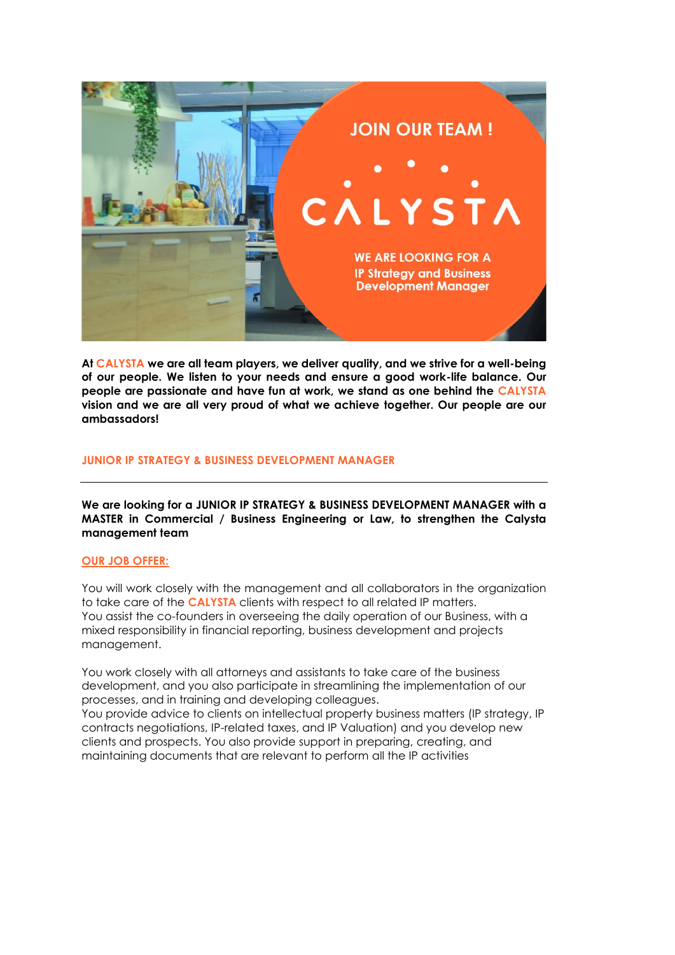

**At CALYSTA we are all team players, we deliver quality, and we strive for a well-being of our people. We listen to your needs and ensure a good work-life balance. Our people are passionate and have fun at work, we stand as one behind the CALYSTA vision and we are all very proud of what we achieve together. Our people are our ambassadors!**

### **JUNIOR IP STRATEGY & BUSINESS DEVELOPMENT MANAGER**

**We are looking for a JUNIOR IP STRATEGY & BUSINESS DEVELOPMENT MANAGER with a MASTER in Commercial / Business Engineering or Law, to strengthen the Calysta management team**

#### **OUR JOB OFFER:**

You will work closely with the management and all collaborators in the organization to take care of the **CALYSTA** clients with respect to all related IP matters. You assist the co-founders in overseeing the daily operation of our Business, with a mixed responsibility in financial reporting, business development and projects management.

You work closely with all attorneys and assistants to take care of the business development, and you also participate in streamlining the implementation of our processes, and in training and developing colleagues.

You provide advice to clients on intellectual property business matters (IP strategy, IP contracts negotiations, IP-related taxes, and IP Valuation) and you develop new clients and prospects. You also provide support in preparing, creating, and maintaining documents that are relevant to perform all the IP activities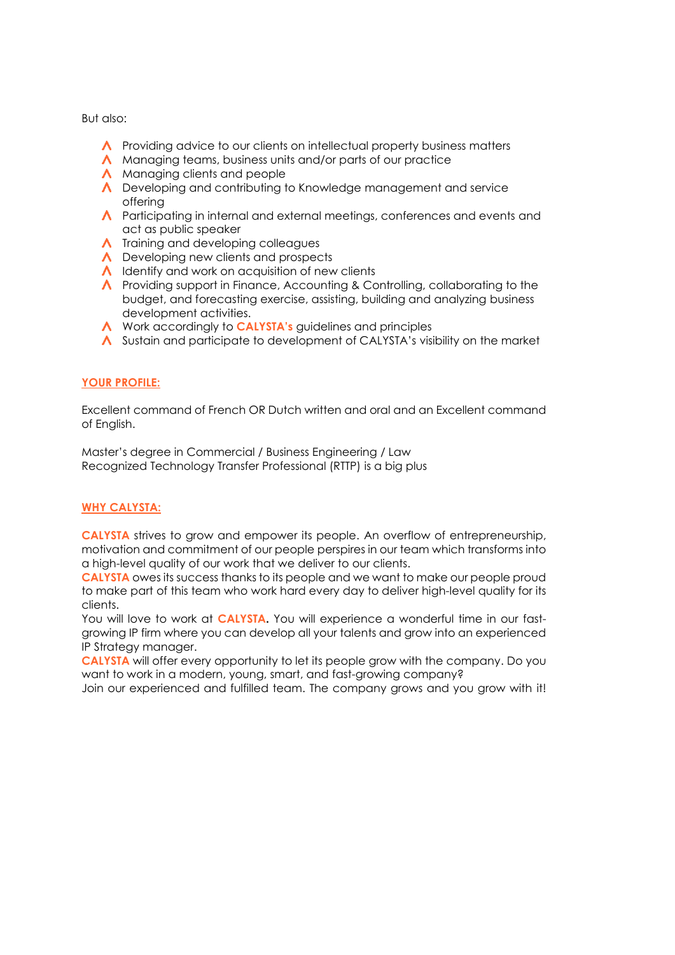But also:

- A Providing advice to our clients on intellectual property business matters
- A Managing teams, business units and/or parts of our practice
- A Managing clients and people
- A Developing and contributing to Knowledge management and service offering
- A Participating in internal and external meetings, conferences and events and act as public speaker
- $\Lambda$  Training and developing colleagues
- Developing new clients and prospects
- $\Lambda$  Identify and work on acquisition of new clients
- A Providing support in Finance, Accounting & Controlling, collaborating to the budget, and forecasting exercise, assisting, building and analyzing business development activities.
- A Work accordingly to **CALYSTA's** guidelines and principles
- A Sustain and participate to development of CALYSTA's visibility on the market

## **YOUR PROFILE:**

Excellent command of French OR Dutch written and oral and an Excellent command of English.

Master's degree in Commercial / Business Engineering / Law Recognized Technology Transfer Professional (RTTP) is a big plus

# **WHY CALYSTA:**

**CALYSTA** strives to grow and empower its people. An overflow of entrepreneurship, motivation and commitment of our people perspires in our team which transforms into a high-level quality of our work that we deliver to our clients.

**CALYSTA** owes its success thanks to its people and we want to make our people proud to make part of this team who work hard every day to deliver high-level quality for its clients.

You will love to work at **CALYSTA.** You will experience a wonderful time in our fastgrowing IP firm where you can develop all your talents and grow into an experienced IP Strategy manager.

**CALYSTA** will offer every opportunity to let its people grow with the company. Do you want to work in a modern, young, smart, and fast-growing company?

Join our experienced and fulfilled team. The company grows and you grow with it!